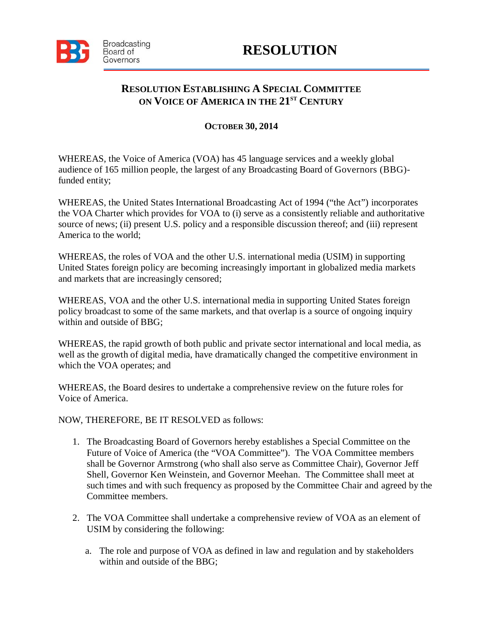

## **RESOLUTION ESTABLISHING A SPECIAL COMMITTEE ON VOICE OF AMERICA IN THE 21ST CENTURY**

## **OCTOBER 30, 2014**

WHEREAS, the Voice of America (VOA) has 45 language services and a weekly global audience of 165 million people, the largest of any Broadcasting Board of Governors (BBG) funded entity;

WHEREAS, the United States International Broadcasting Act of 1994 ("the Act") incorporates the VOA Charter which provides for VOA to (i) serve as a consistently reliable and authoritative source of news; (ii) present U.S. policy and a responsible discussion thereof; and (iii) represent America to the world;

WHEREAS, the roles of VOA and the other U.S. international media (USIM) in supporting United States foreign policy are becoming increasingly important in globalized media markets and markets that are increasingly censored;

WHEREAS, VOA and the other U.S. international media in supporting United States foreign policy broadcast to some of the same markets, and that overlap is a source of ongoing inquiry within and outside of BBG;

WHEREAS, the rapid growth of both public and private sector international and local media, as well as the growth of digital media, have dramatically changed the competitive environment in which the VOA operates; and

WHEREAS, the Board desires to undertake a comprehensive review on the future roles for Voice of America.

NOW, THEREFORE, BE IT RESOLVED as follows:

- 1. The Broadcasting Board of Governors hereby establishes a Special Committee on the Future of Voice of America (the "VOA Committee"). The VOA Committee members shall be Governor Armstrong (who shall also serve as Committee Chair), Governor Jeff Shell, Governor Ken Weinstein, and Governor Meehan. The Committee shall meet at such times and with such frequency as proposed by the Committee Chair and agreed by the Committee members.
- 2. The VOA Committee shall undertake a comprehensive review of VOA as an element of USIM by considering the following:
	- a. The role and purpose of VOA as defined in law and regulation and by stakeholders within and outside of the BBG;